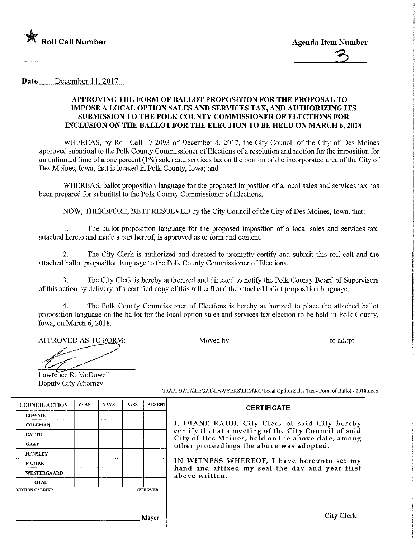

Date December 11, 2017

## APPROVING THE FORM OF BALLOT PROPOSITION FOR THE PROPOSAL TO IMPOSE A LOCAL OPTION SALES AND SERVICES TAX, AND AUTHORIZING ITS SUBMISSION TO THE POLK COUNTY COMMISSIONER OF ELECTIONS FOR INCLUSION ON THE BALLOT FOR THE ELECTION TO BE HELD ON MARCH 6,2018

WHEREAS, by Roll Call 17-2093 of December 4, 2017, the City Council of the City of Des Moines approved submittal to the Polk County Commissioner of Elections of a resolution and motion for the imposition for an unlimited time of a one percent (1%) sales and services tax on the portion of the incorporated area of the City of Des Moines, Iowa, that is located in Polk County, Iowa; and

WHEREAS, ballot proposition language for the proposed imposition of a local sales and services tax has been prepared for submittal to the Polk County Commissioner of Elections.

NOW, THEREFORE, BE IT RESOLVED by the City Council of the City of Des Moines, Iowa, that:

1. The ballot proposition language for the proposed imposition of a local sales and services tax, attached hereto and made a part hereof, is approved as to form and content.

2. The City Clerk is authorized and directed to promptly certify and submit this roll call and the attached ballot proposition language to the Polk County Commissioner of Elections.

3. The City Clerk is hereby authorized and directed to notify the Polk County Board of Supervisors ofthisactionby delivery of a certified copy of this roll call and the attached ballot proposition language.

4. The Polk County Commissioner of Elections is hereby authorized to place the attached ballot proposition language on the ballot for the local option sales and services tax election to be held in Polk County, Iowa, on March 6, 2018.

APPROVED AS TO FORM: Moved by to adopt.

Lawrence R. McDowell Deputy City Attorney

| <b>COUNCIL ACTION</b> | <b>YEAS</b> | <b>NAYS</b> | PASS            | <b>ABSENT</b> |
|-----------------------|-------------|-------------|-----------------|---------------|
| <b>COWNIE</b>         |             |             |                 |               |
| <b>COLEMAN</b>        |             |             |                 |               |
| <b>GATTO</b>          |             |             |                 |               |
| <b>GRAY</b>           |             |             |                 |               |
| <b>HENSLEY</b>        |             |             |                 |               |
| <b>MOORE</b>          |             |             |                 |               |
| <b>WESTERGAARD</b>    |             |             |                 |               |
| <b>TOTAL</b>          |             |             |                 |               |
| <b>MOTION CARRIED</b> |             |             | <b>APPROVED</b> |               |

G:\APPDATA\LEGAL\LAWYERS\LRM\RC\Local Option Sales Tax - Form of Ballot - 2018.docx

## **CERTIFICATE**

I, DIANE RAUH/ City Clerk of said City hereby certify that at a meeting of the City Council of said City of Des Moines, held on the above date, among other proceedings the above was adopted.

IN WITNESS WHEREOF, I have hereunto set my hand and affixed my seal the day and year first above written.

City Clerk

Mayor